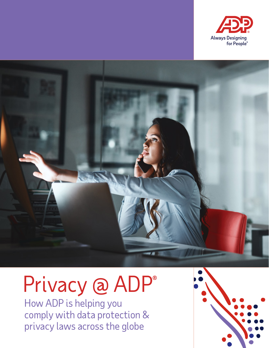

# Purple

# Privacy @ ADP®

How ADP is helping you comply with data protection & privacy laws across the globe

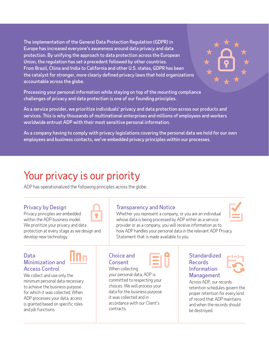The implementation of the General Data Protection Regulation (GDPR) in Europe has increased everyone's awareness around data privacy and data protection. By unifying the approach to data protection across the European Union, the regulation has set a precedent followed by other countries. From Brazil, China and India to California and other U.S. states, GDPR has been the catalyst for stronger, more clearly defined privacy laws that hold organizations accountable across the globe.

Processing your personal information while staying on top of the mounting compliance challenges of privacy and data protection is one of our founding principles.

As a service provider, we prioritize individuals' privacy and data protection across our products and services. This is why thousands of multinational enterprises and millions of employees and workers worldwide entrust ADP with their most sensitive personal information.

As a company having to comply with privacy legislations covering the personal data we hold for our own employees and business contacts, we've embedded privacy principles within our processes.

# Your privacy is our priority

ADP has operationalized the following principles across the globe:

### Privacy by Design

Privacy principles are embedded within the ADP business model. We prioritize your privacy and data protection at every stage as we design and develop new technology.

### Data Minimization and Access Control

We collect and use only the minimum personal data necessary to achieve the business purpose for which it was collected. When ADP processes your data, access is granted based on specific roles and job functions.

### Transparency and Notice

Whether you represent a company, or you are an individual whose data is being processed by ADP either as a service provider or as a company, you will receive information as to how ADP handles your personal data in the relevant ADP Privacy Statement that is made available to you.

### Choice and **Consent**

When collecting your personal data, ADP is committed to respecting your choices. We will process your data for the business purpose it was collected and in accordance with our Client's contracts.

### **Standardized** Records Information Management





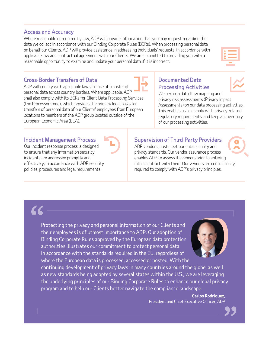### Access and Accuracy

Where reasonable or required by law, ADP will provide information that you may request regarding the data we collect in accordance with our Binding Corporate Rules (BCRs). When processing personal data on behalf our Clients, ADP will provide assistance in addressing individuals' requests, in accordance with applicable law and contractual agreement with our Clients. We are committed to providing you with a reasonable opportunity to examine and update your personal data if it is incorrect.

### Cross-Border Transfers of Data

ADP will comply with applicable laws in case of transfer of personal data across country borders. Where applicable, ADP shall also comply with its BCRs for Client Data Processing Services (the Processor Code), which provides the primary legal basis for transfers of personal data of our Clients' employees from European locations to members of the ADP group located outside of the European Economic Area (EEA).

### Documented Data Processing Activities

We perform data flow mapping and privacy risk assessments (Privacy Impact Assessments) on our data processing activities. This enables us to comply with privacy-related regulatory requirements, and keep an inventory of our processing activities.

### Incident Management Process

Our incident response process is designed to ensure that any information security incidents are addressed promptly and effectively, in accordance with ADP security policies, procedures and legal requirements.

### Supervision of Third-Party Providers

ADP vendors must meet our data security and privacy standards. Our vendor assurance process enables ADP to assess its vendors prior to entering into a contract with them. Our vendors are contractually required to comply with ADP's privacy principles.

Protecting the privacy and personal information of our Clients and their employees is of utmost importance to ADP. Our adoption of Binding Corporate Rules approved by the European data protection authorities illustrates our commitment to protect personal data in accordance with the standards required in the EU, regardless of where the European data is processed, accessed or hosted. With the

continuing development of privacy laws in many countries around the globe, as well as new standards being adopted by several states within the U.S., we are leveraging the underlying principles of our Binding Corporate Rules to enhance our global privacy program and to help our Clients better navigate the compliance landscape.

> **Carlos Rodriguez**, President and Chief Executive Officer, ADP



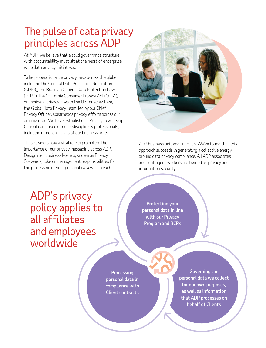# The pulse of data privacy principles across ADP

At ADP, we believe that a solid governance structure with accountability must sit at the heart of enterprisewide data privacy initiatives.

To help operationalize privacy laws across the globe, including the General Data Protection Regulation (GDPR), the Brazilian General Data Protection Law (LGPD), the California Consumer Privacy Act (CCPA), or imminent privacy laws in the U.S. or elsewhere, the Global Data Privacy Team, led by our Chief Privacy Officer, spearheads privacy efforts across our organization. We have established a Privacy Leadership Council comprised of cross-disciplinary professionals, including representatives of our business units.

These leaders play a vital role in promoting the importance of our privacy messaging across ADP. Designated business leaders, known as Privacy Stewards, take on management responsibilities for the processing of your personal data within each



ADP business unit and function. We've found that this approach succeeds in generating a collective energy around data privacy compliance. All ADP associates and contingent workers are trained on privacy and information security.

ADP's privacy policy applies to all affiliates and employees worldwide

Protecting your personal data in line with our Privacy Program and BCRs

**Processing** personal data in compliance with Client contracts

Governing the personal data we collect for our own purposes, as well as information that ADP processes on behalf of Clients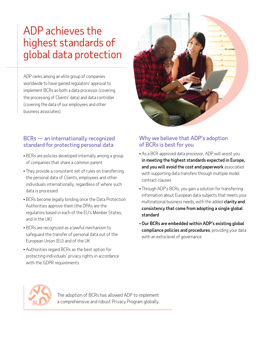## ADP achieves the highest standards of global data protection

ADP ranks among an elite group of companies worldwide to have gained regulators' approval to implement BCRs as both a data processor (covering the processing of Clients' data) and data controller (covering the data of our employees and other business associates).

### BCRs — an internationally recognized standard for protecting personal data

- BCRs are policies developed internally among a group of companies that share a common parent
- They provide a consistent set of rules on transferring the personal data of Clients, employees and other individuals internationally, regardless of where such data is processed
- BCRs become legally binding once the Data Protection Authorities approve them (the DPAs are the regulators based in each of the EU's Member States, and in the UK)
- BCRs are recognized as a lawful mechanism to safeguard the transfer of personal data out of the European Union (EU) and of the UK
- Authorities regard BCRs as the best option for protecting individuals' privacy rights in accordance with the GDPR requirements

### Why we believe that ADP's adoption of BCRs is best for you

- As a BCR-approved data processor, ADP will assist you in meeting the highest standards expected in Europe, and you will avoid the cost and paperwork associated with supporting data transfers through multiple model contract clauses
- Through ADP's BCRs, you gain a solution for transferring information about European data subjects that meets your multinational business needs, with the added **clarity and** consistency that come from adopting a single global standard
- Our BCRs are embedded within ADP's existing global compliance policies and procedures, providing your data with an extra level of governance



The adoption of BCRs has allowed ADP to implement a comprehensive and robust Privacy Program globally.